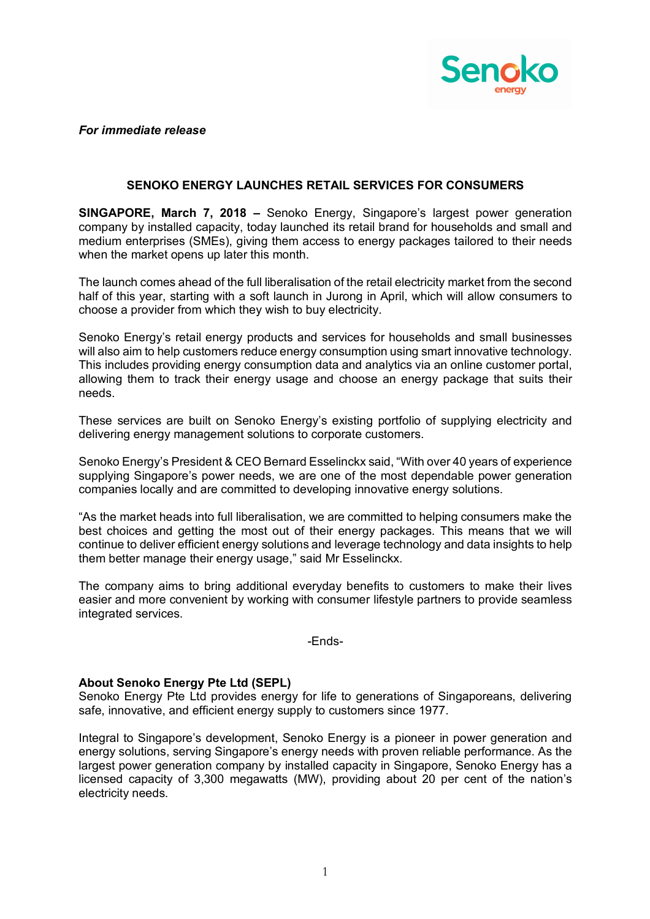

*For immediate release*

## **SENOKO ENERGY LAUNCHES RETAIL SERVICES FOR CONSUMERS**

**SINGAPORE, March 7, 2018 –** Senoko Energy, Singapore's largest power generation company by installed capacity, today launched its retail brand for households and small and medium enterprises (SMEs), giving them access to energy packages tailored to their needs when the market opens up later this month.

The launch comes ahead of the full liberalisation of the retail electricity market from the second half of this year, starting with a soft launch in Jurong in April, which will allow consumers to choose a provider from which they wish to buy electricity.

Senoko Energy's retail energy products and services for households and small businesses will also aim to help customers reduce energy consumption using smart innovative technology. This includes providing energy consumption data and analytics via an online customer portal, allowing them to track their energy usage and choose an energy package that suits their needs.

These services are built on Senoko Energy's existing portfolio of supplying electricity and delivering energy management solutions to corporate customers.

Senoko Energy's President & CEO Bernard Esselinckx said, "With over 40 years of experience supplying Singapore's power needs, we are one of the most dependable power generation companies locally and are committed to developing innovative energy solutions.

"As the market heads into full liberalisation, we are committed to helping consumers make the best choices and getting the most out of their energy packages. This means that we will continue to deliver efficient energy solutions and leverage technology and data insights to help them better manage their energy usage," said Mr Esselinckx.

The company aims to bring additional everyday benefits to customers to make their lives easier and more convenient by working with consumer lifestyle partners to provide seamless integrated services.

-Ends-

## **About Senoko Energy Pte Ltd (SEPL)**

Senoko Energy Pte Ltd provides energy for life to generations of Singaporeans, delivering safe, innovative, and efficient energy supply to customers since 1977.

Integral to Singapore's development, Senoko Energy is a pioneer in power generation and energy solutions, serving Singapore's energy needs with proven reliable performance. As the largest power generation company by installed capacity in Singapore, Senoko Energy has a licensed capacity of 3,300 megawatts (MW), providing about 20 per cent of the nation's electricity needs.